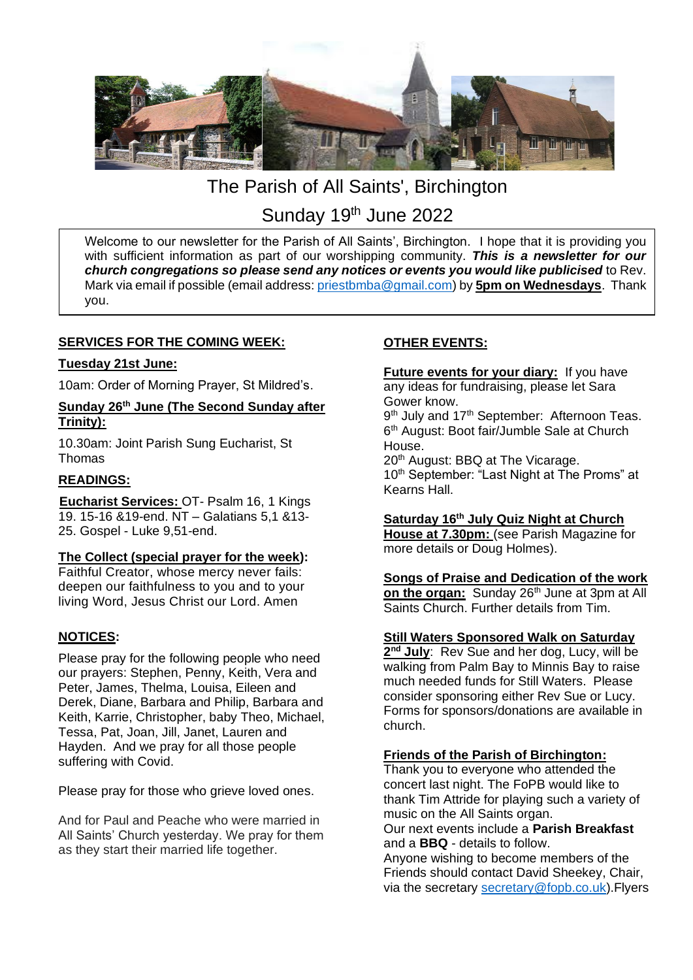

# The Parish of All Saints', Birchington Sunday 19<sup>th</sup> June 2022

Welcome to our newsletter for the Parish of All Saints', Birchington. I hope that it is providing you with sufficient information as part of our worshipping community. *This is a newsletter for our church congregations so please send any notices or events you would like publicised* to Rev. Mark via email if possible (email address: [priestbmba@gmail.com\)](mailto:priestbmba@gmail.com) by **5pm on Wednesdays**. Thank you.

# **SERVICES FOR THE COMING WEEK:**

#### **Tuesday 21st June:**

10am: Order of Morning Prayer, St Mildred's.

# **Sunday 26th June (The Second Sunday after Trinity):**

10.30am: Joint Parish Sung Eucharist, St Thomas

# **READINGS:**

**Eucharist Services:** OT- Psalm 16, 1 Kings 19. 15-16 &19-end. NT – Galatians 5,1 &13- 25. Gospel - Luke 9,51-end.

#### **The Collect (special prayer for the week):**

Faithful Creator, whose mercy never fails: deepen our faithfulness to you and to your living Word, Jesus Christ our Lord. Amen

# **NOTICES:**

Please pray for the following people who need our prayers: Stephen, Penny, Keith, Vera and Peter, James, Thelma, Louisa, Eileen and Derek, Diane, Barbara and Philip, Barbara and Keith, Karrie, Christopher, baby Theo, Michael, Tessa, Pat, Joan, Jill, Janet, Lauren and Hayden. And we pray for all those people suffering with Covid.

Please pray for those who grieve loved ones.

And for Paul and Peache who were married in All Saints' Church yesterday. We pray for them as they start their married life together.

# **OTHER EVENTS:**

**Future events for your diary:** If you have any ideas for fundraising, please let Sara Gower know.

9<sup>th</sup> July and 17<sup>th</sup> September: Afternoon Teas. 6<sup>th</sup> August: Boot fair/Jumble Sale at Church House.

20<sup>th</sup> August: BBQ at The Vicarage. 10<sup>th</sup> September: "Last Night at The Proms" at Kearns Hall.

#### **Saturday 16th July Quiz Night at Church**

**House at 7.30pm:** (see Parish Magazine for more details or Doug Holmes).

# **Songs of Praise and Dedication of the work**

on the organ: Sunday 26<sup>th</sup> June at 3pm at All Saints Church. Further details from Tim.

#### **Still Waters Sponsored Walk on Saturday**

**2 nd July**: Rev Sue and her dog, Lucy, will be walking from Palm Bay to Minnis Bay to raise much needed funds for Still Waters. Please consider sponsoring either Rev Sue or Lucy. Forms for sponsors/donations are available in church.

#### **Friends of the Parish of Birchington:**

Thank you to everyone who attended the concert last night. The FoPB would like to thank Tim Attride for playing such a variety of music on the All Saints organ. Our next events include a **Parish Breakfast** and a **BBQ** - details to follow.

Anyone wishing to become members of the Friends should contact David Sheekey, Chair, via the secretary [secretary@fopb.co.uk\)](mailto:secretary@fopb.co.uk).Flyers